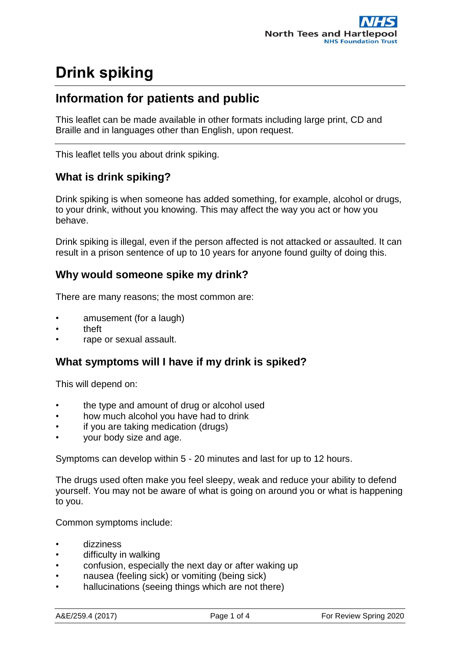### **Information for patients and public**

This leaflet can be made available in other formats including large print, CD and Braille and in languages other than English, upon request.

This leaflet tells you about drink spiking.

### **What is drink spiking?**

Drink spiking is when someone has added something, for example, alcohol or drugs, to your drink, without you knowing. This may affect the way you act or how you behave.

Drink spiking is illegal, even if the person affected is not attacked or assaulted. It can result in a prison sentence of up to 10 years for anyone found guilty of doing this.

#### **Why would someone spike my drink?**

There are many reasons; the most common are:

- amusement (for a laugh)
- theft
- rape or sexual assault.

#### **What symptoms will I have if my drink is spiked?**

This will depend on:

- the type and amount of drug or alcohol used
- how much alcohol you have had to drink
- if you are taking medication (drugs)
- your body size and age.

Symptoms can develop within 5 - 20 minutes and last for up to 12 hours.

The drugs used often make you feel sleepy, weak and reduce your ability to defend yourself. You may not be aware of what is going on around you or what is happening to you.

Common symptoms include:

- dizziness
- difficulty in walking
- confusion, especially the next day or after waking up
- nausea (feeling sick) or vomiting (being sick)
- hallucinations (seeing things which are not there)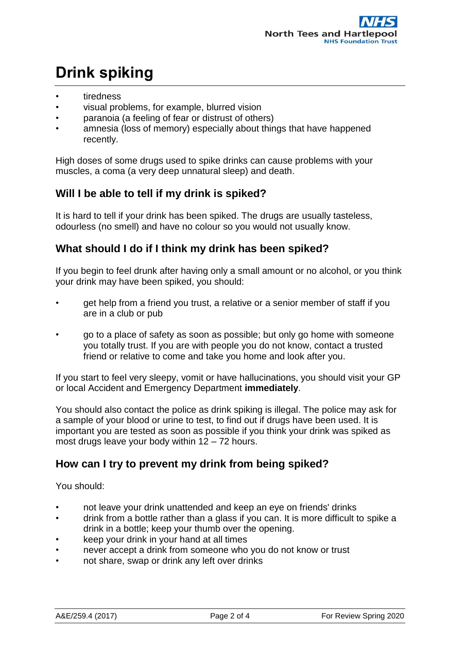- tiredness
- visual problems, for example, blurred vision
- paranoia (a feeling of fear or distrust of others)
- amnesia (loss of memory) especially about things that have happened recently.

High doses of some drugs used to spike drinks can cause problems with your muscles, a coma (a very deep unnatural sleep) and death.

### **Will I be able to tell if my drink is spiked?**

It is hard to tell if your drink has been spiked. The drugs are usually tasteless, odourless (no smell) and have no colour so you would not usually know.

### **What should I do if I think my drink has been spiked?**

If you begin to feel drunk after having only a small amount or no alcohol, or you think your drink may have been spiked, you should:

- get help from a friend you trust, a relative or a senior member of staff if you are in a club or pub
- go to a place of safety as soon as possible; but only go home with someone you totally trust. If you are with people you do not know, contact a trusted friend or relative to come and take you home and look after you.

If you start to feel very sleepy, vomit or have hallucinations, you should visit your GP or local Accident and Emergency Department **immediately**.

You should also contact the police as drink spiking is illegal. The police may ask for a sample of your blood or urine to test, to find out if drugs have been used. It is important you are tested as soon as possible if you think your drink was spiked as most drugs leave your body within 12 – 72 hours.

### **How can I try to prevent my drink from being spiked?**

You should:

- not leave your drink unattended and keep an eye on friends' drinks
- drink from a bottle rather than a glass if you can. It is more difficult to spike a drink in a bottle; keep your thumb over the opening.
- keep your drink in your hand at all times
- never accept a drink from someone who you do not know or trust
- not share, swap or drink any left over drinks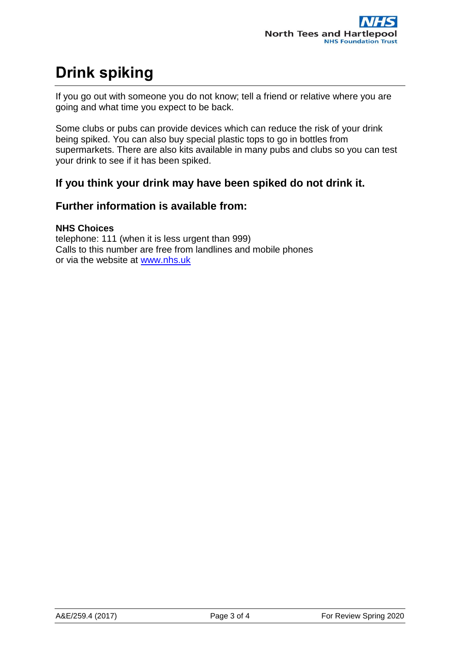If you go out with someone you do not know; tell a friend or relative where you are going and what time you expect to be back.

Some clubs or pubs can provide devices which can reduce the risk of your drink being spiked. You can also buy special plastic tops to go in bottles from supermarkets. There are also kits available in many pubs and clubs so you can test your drink to see if it has been spiked.

### **If you think your drink may have been spiked do not drink it.**

#### **Further information is available from:**

#### **NHS Choices**

telephone: 111 (when it is less urgent than 999) Calls to this number are free from landlines and mobile phones or via the website at [www.nhs.uk](http://www.nhs.uk/)